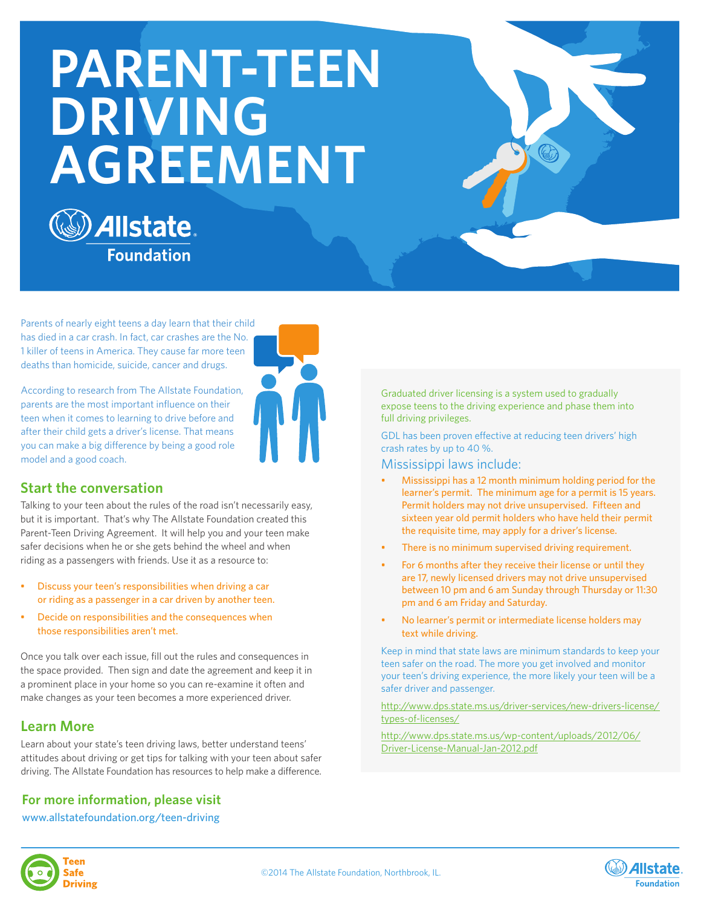# **PARENT-TEEN DRIVING AGREEMENT**



Parents of nearly eight teens a day learn that their child has died in a car crash. In fact, car crashes are the No. 1 killer of teens in America. They cause far more teen deaths than homicide, suicide, cancer and drugs.

According to research from The Allstate Foundation, parents are the most important influence on their teen when it comes to learning to drive before and after their child gets a driver's license. That means you can make a big difference by being a good role model and a good coach.



### **Start the conversation**

Talking to your teen about the rules of the road isn't necessarily easy, but it is important. That's why The Allstate Foundation created this Parent-Teen Driving Agreement. It will help you and your teen make safer decisions when he or she gets behind the wheel and when riding as a passengers with friends. Use it as a resource to:

- Discuss your teen's responsibilities when driving a car or riding as a passenger in a car driven by another teen.
- Decide on responsibilities and the consequences when those responsibilities aren't met.

Once you talk over each issue, fill out the rules and consequences in the space provided. Then sign and date the agreement and keep it in a prominent place in your home so you can re-examine it often and make changes as your teen becomes a more experienced driver.

### **Learn More**

Learn about your state's teen driving laws, better understand teens' attitudes about driving or get tips for talking with your teen about safer driving. The Allstate Foundation has resources to help make a difference.

# **For more information, please visit**

#### www.allstatefoundation.org/teen-driving

There is no minimum supervised driving requirement. For 6 months after they receive their license or until they are 17, newly licensed drivers may not drive unsupervised between 10 pm and 6 am Sunday through Thursday or 11:30

pm and 6 am Friday and Saturday.

the requisite time, may apply for a driver's license.

Graduated driver licensing is a system used to gradually expose teens to the driving experience and phase them into

GDL has been proven effective at reducing teen drivers' high

• Mississippi has a 12 month minimum holding period for the learner's permit. The minimum age for a permit is 15 years. Permit holders may not drive unsupervised. Fifteen and sixteen year old permit holders who have held their permit

full driving privileges.

crash rates by up to 40 %. Mississippi laws include:

• No learner's permit or intermediate license holders may text while driving.

Keep in mind that state laws are minimum standards to keep your teen safer on the road. The more you get involved and monitor your teen's driving experience, the more likely your teen will be a safer driver and passenger.

http://www.dps.state.ms.us/driver-services/new-drivers-license/ types-of-licenses/

http://www.dps.state.ms.us/wp-content/uploads/2012/06/ Driver-License-Manual-Jan-2012.pdf